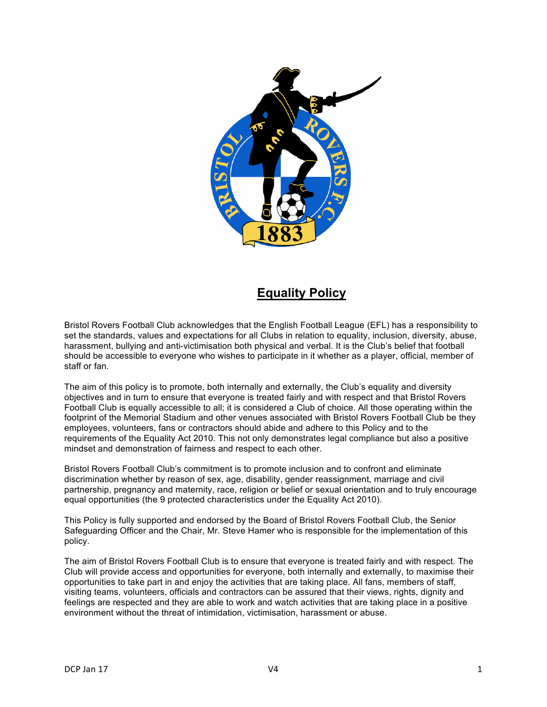

## **Equality Policy**

Bristol Rovers Football Club acknowledges that the English Football League (EFL) has a responsibility to set the standards, values and expectations for all Clubs in relation to equality, inclusion, diversity, abuse, harassment, bullying and anti-victimisation both physical and verbal. It is the Club's belief that football should be accessible to everyone who wishes to participate in it whether as a player, official, member of staff or fan.

The aim of this policy is to promote, both internally and externally, the Club's equality and diversity objectives and in turn to ensure that everyone is treated fairly and with respect and that Bristol Rovers Football Club is equally accessible to all; it is considered a Club of choice. All those operating within the footprint of the Memorial Stadium and other venues associated with Bristol Rovers Football Club be they employees, volunteers, fans or contractors should abide and adhere to this Policy and to the requirements of the Equality Act 2010. This not only demonstrates legal compliance but also a positive mindset and demonstration of fairness and respect to each other.

Bristol Rovers Football Club's commitment is to promote inclusion and to confront and eliminate discrimination whether by reason of sex, age, disability, gender reassignment, marriage and civil partnership, pregnancy and maternity, race, religion or belief or sexual orientation and to truly encourage equal opportunities (the 9 protected characteristics under the Equality Act 2010).

This Policy is fully supported and endorsed by the Board of Bristol Rovers Football Club, the Senior Safeguarding Officer and the Chair, Mr. Steve Hamer who is responsible for the implementation of this policy.

The aim of Bristol Rovers Football Club is to ensure that everyone is treated fairly and with respect. The Club will provide access and opportunities for everyone, both internally and externally, to maximise their opportunities to take part in and enjoy the activities that are taking place. All fans, members of staff, visiting teams, volunteers, officials and contractors can be assured that their views, rights, dignity and feelings are respected and they are able to work and watch activities that are taking place in a positive environment without the threat of intimidation, victimisation, harassment or abuse.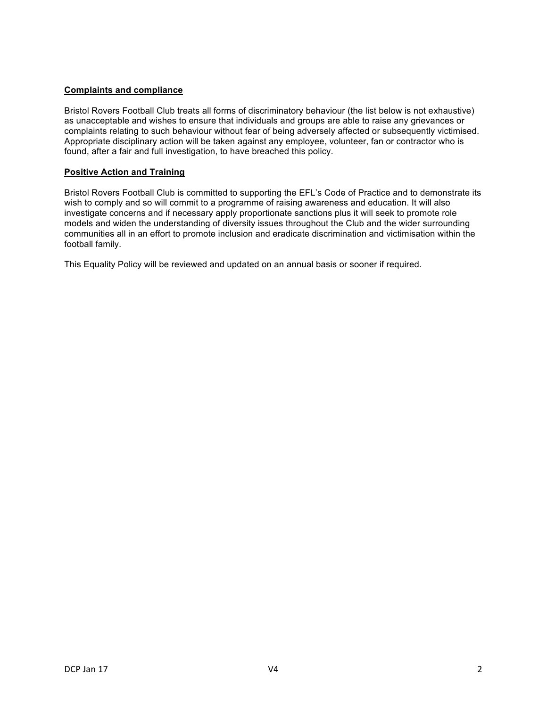## **Complaints and compliance**

Bristol Rovers Football Club treats all forms of discriminatory behaviour (the list below is not exhaustive) as unacceptable and wishes to ensure that individuals and groups are able to raise any grievances or complaints relating to such behaviour without fear of being adversely affected or subsequently victimised. Appropriate disciplinary action will be taken against any employee, volunteer, fan or contractor who is found, after a fair and full investigation, to have breached this policy.

## **Positive Action and Training**

Bristol Rovers Football Club is committed to supporting the EFL's Code of Practice and to demonstrate its wish to comply and so will commit to a programme of raising awareness and education. It will also investigate concerns and if necessary apply proportionate sanctions plus it will seek to promote role models and widen the understanding of diversity issues throughout the Club and the wider surrounding communities all in an effort to promote inclusion and eradicate discrimination and victimisation within the football family.

This Equality Policy will be reviewed and updated on an annual basis or sooner if required.